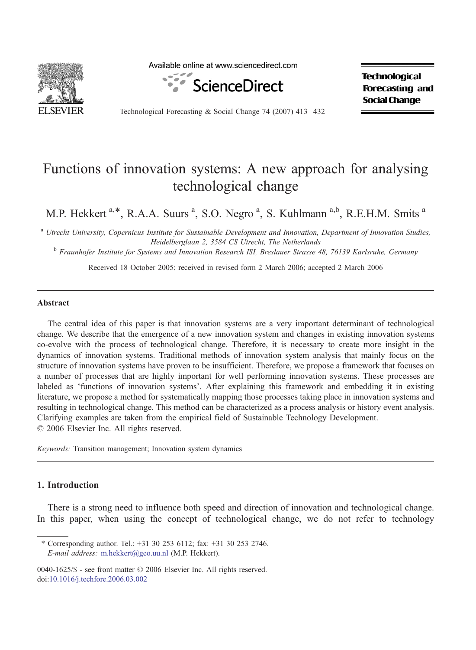

Available online at www.sciencedirect.com



**Technological Forecasting and Social Change** 

Technological Forecasting & Social Change 74 (2007) 413-432

# Functions of innovation systems: A new approach for analysing technological change

M.P. Hekkert<sup>a,\*</sup>, R.A.A. Suurs<sup>a</sup>, S.O. Negro<sup>a</sup>, S. Kuhlmann<sup>a,b</sup>, R.E.H.M. Smits<sup>a</sup>

<sup>a</sup> Utrecht University, Copernicus Institute for Sustainable Development and Innovation, Department of Innovation Studies, Heidelberglaan 2, 3584 CS Utrecht, The Netherlands<br><sup>b</sup> Fraunhofer Institute for Systems and Innovation Research ISI, Breslauer Strasse 48, 76139 Karlsruhe, Germany

Received 18 October 2005; received in revised form 2 March 2006; accepted 2 March 2006

## Abstract

The central idea of this paper is that innovation systems are a very important determinant of technological change. We describe that the emergence of a new innovation system and changes in existing innovation systems co-evolve with the process of technological change. Therefore, it is necessary to create more insight in the dynamics of innovation systems. Traditional methods of innovation system analysis that mainly focus on the structure of innovation systems have proven to be insufficient. Therefore, we propose a framework that focuses on a number of processes that are highly important for well performing innovation systems. These processes are labeled as 'functions of innovation systems'. After explaining this framework and embedding it in existing literature, we propose a method for systematically mapping those processes taking place in innovation systems and resulting in technological change. This method can be characterized as a process analysis or history event analysis. Clarifying examples are taken from the empirical field of Sustainable Technology Development.  $© 2006 Elsevier Inc. All rights reserved.$ 

Keywords: Transition management; Innovation system dynamics

# 1. Introduction

There is a strong need to influence both speed and direction of innovation and technological change. In this paper, when using the concept of technological change, we do not refer to technology

<sup>\*</sup> Corresponding author. Tel.: +31 30 253 6112; fax: +31 30 253 2746. E-mail address: m.hekkert@geo.uu.nl (M.P. Hekkert).

<sup>0040-1625/\$ -</sup> see front matter © 2006 Elsevier Inc. All rights reserved. doi[:10.1016/j.techfore.2006.03.002](http://dx.doi.org/10.1016/j.techfore.2006.03.002)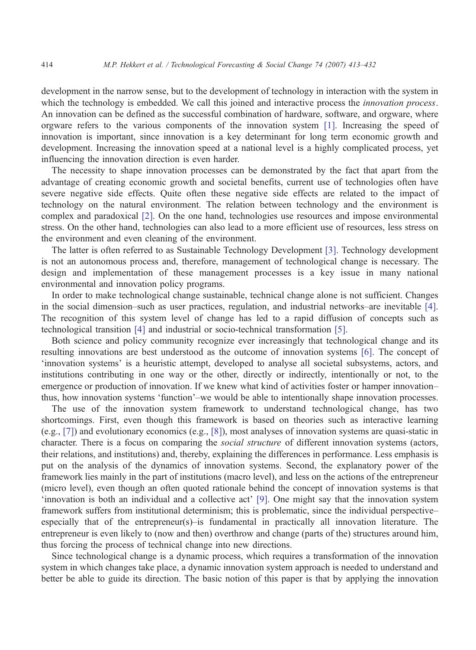development in the narrow sense, but to the development of technology in interaction with the system in which the technology is embedded. We call this joined and interactive process the *innovation process*. An innovation can be defined as the successful combination of hardware, software, and orgware, where orgware refers to the various components of the innovation system [\[1\].](#page-17-0) Increasing the speed of innovation is important, since innovation is a key determinant for long term economic growth and development. Increasing the innovation speed at a national level is a highly complicated process, yet influencing the innovation direction is even harder.

The necessity to shape innovation processes can be demonstrated by the fact that apart from the advantage of creating economic growth and societal benefits, current use of technologies often have severe negative side effects. Quite often these negative side effects are related to the impact of technology on the natural environment. The relation between technology and the environment is complex and paradoxical [\[2\].](#page-17-0) On the one hand, technologies use resources and impose environmental stress. On the other hand, technologies can also lead to a more efficient use of resources, less stress on the environment and even cleaning of the environment.

The latter is often referred to as Sustainable Technology Development [\[3\].](#page-17-0) Technology development is not an autonomous process and, therefore, management of technological change is necessary. The design and implementation of these management processes is a key issue in many national environmental and innovation policy programs.

In order to make technological change sustainable, technical change alone is not sufficient. Changes in the social dimension–such as user practices, regulation, and industrial networks–are inevitable [\[4\].](#page-17-0) The recognition of this system level of change has led to a rapid diffusion of concepts such as technological transition [\[4\]](#page-17-0) and industrial or socio-technical transformation [\[5\].](#page-17-0)

Both science and policy community recognize ever increasingly that technological change and its resulting innovations are best understood as the outcome of innovation systems [\[6\].](#page-17-0) The concept of innovation systems' is a heuristic attempt, developed to analyse all societal subsystems, actors, and institutions contributing in one way or the other, directly or indirectly, intentionally or not, to the emergence or production of innovation. If we knew what kind of activities foster or hamper innovation– thus, how innovation systems 'function'—we would be able to intentionally shape innovation processes.

The use of the innovation system framework to understand technological change, has two shortcomings. First, even though this framework is based on theories such as interactive learning (e.g., [\[7\]\)](#page-17-0) and evolutionary economics (e.g., [\[8\]\)](#page-17-0), most analyses of innovation systems are quasi-static in character. There is a focus on comparing the *social structure* of different innovation systems (actors, their relations, and institutions) and, thereby, explaining the differences in performance. Less emphasis is put on the analysis of the dynamics of innovation systems. Second, the explanatory power of the framework lies mainly in the part of institutions (macro level), and less on the actions of the entrepreneur (micro level), even though an often quoted rationale behind the concept of innovation systems is that 'innovation is both an individual and a collective act' [\[9\].](#page-17-0) One might say that the innovation system framework suffers from institutional determinism; this is problematic, since the individual perspective– especially that of the entrepreneur(s)–is fundamental in practically all innovation literature. The entrepreneur is even likely to (now and then) overthrow and change (parts of the) structures around him, thus forcing the process of technical change into new directions.

Since technological change is a dynamic process, which requires a transformation of the innovation system in which changes take place, a dynamic innovation system approach is needed to understand and better be able to guide its direction. The basic notion of this paper is that by applying the innovation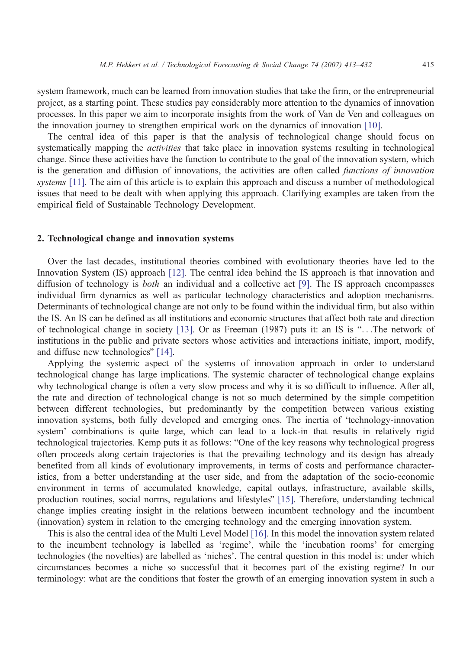system framework, much can be learned from innovation studies that take the firm, or the entrepreneurial project, as a starting point. These studies pay considerably more attention to the dynamics of innovation processes. In this paper we aim to incorporate insights from the work of Van de Ven and colleagues on the innovation journey to strengthen empirical work on the dynamics of innovation [\[10\].](#page-17-0)

The central idea of this paper is that the analysis of technological change should focus on systematically mapping the *activities* that take place in innovation systems resulting in technological change. Since these activities have the function to contribute to the goal of the innovation system, which is the generation and diffusion of innovations, the activities are often called functions of innovation systems [\[11\].](#page-17-0) The aim of this article is to explain this approach and discuss a number of methodological issues that need to be dealt with when applying this approach. Clarifying examples are taken from the empirical field of Sustainable Technology Development.

# 2. Technological change and innovation systems

Over the last decades, institutional theories combined with evolutionary theories have led to the Innovation System (IS) approach [\[12\].](#page-18-0) The central idea behind the IS approach is that innovation and diffusion of technology is *both* an individual and a collective act [\[9\].](#page-17-0) The IS approach encompasses individual firm dynamics as well as particular technology characteristics and adoption mechanisms. Determinants of technological change are not only to be found within the individual firm, but also within the IS. An IS can be defined as all institutions and economic structures that affect both rate and direction of technological change in society [\[13\].](#page-18-0) Or as Freeman (1987) puts it: an IS is " $\dots$  The network of institutions in the public and private sectors whose activities and interactions initiate, import, modify, and diffuse new technologies"  $[14]$ .

Applying the systemic aspect of the systems of innovation approach in order to understand technological change has large implications. The systemic character of technological change explains why technological change is often a very slow process and why it is so difficult to influence. After all, the rate and direction of technological change is not so much determined by the simple competition between different technologies, but predominantly by the competition between various existing innovation systems, both fully developed and emerging ones. The inertia of 'technology-innovation system' combinations is quite large, which can lead to a lock-in that results in relatively rigid technological trajectories. Kemp puts it as follows: "One of the key reasons why technological progress often proceeds along certain trajectories is that the prevailing technology and its design has already benefited from all kinds of evolutionary improvements, in terms of costs and performance characteristics, from a better understanding at the user side, and from the adaptation of the socio-economic environment in terms of accumulated knowledge, capital outlays, infrastructure, available skills, production routines, social norms, regulations and lifestyles" [\[15\].](#page-18-0) Therefore, understanding technical change implies creating insight in the relations between incumbent technology and the incumbent (innovation) system in relation to the emerging technology and the emerging innovation system.

This is also the central idea of the Multi Level Model [\[16\].](#page-18-0) In this model the innovation system related to the incumbent technology is labelled as 'regime', while the 'incubation rooms' for emerging technologies (the novelties) are labelled as 'niches'. The central question in this model is: under which circumstances becomes a niche so successful that it becomes part of the existing regime? In our terminology: what are the conditions that foster the growth of an emerging innovation system in such a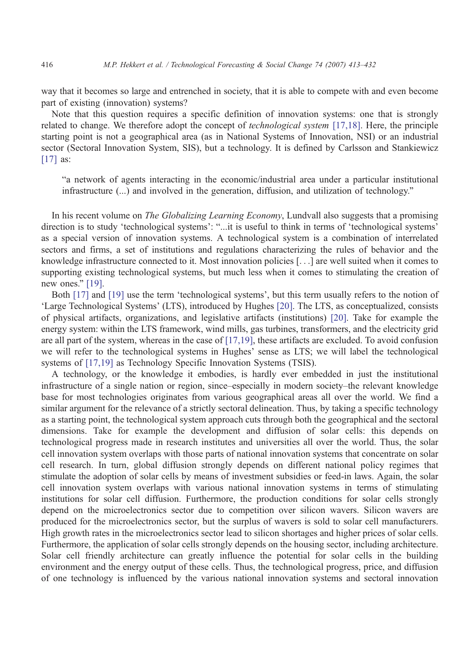way that it becomes so large and entrenched in society, that it is able to compete with and even become part of existing (innovation) systems?

Note that this question requires a specific definition of innovation systems: one that is strongly related to change. We therefore adopt the concept of *technological system* [\[17,18\].](#page-18-0) Here, the principle starting point is not a geographical area (as in National Systems of Innovation, NSI) or an industrial sector (Sectoral Innovation System, SIS), but a technology. It is defined by Carlsson and Stankiewicz [\[17\]](#page-18-0) as:

ba network of agents interacting in the economic/industrial area under a particular institutional infrastructure  $(...)$  and involved in the generation, diffusion, and utilization of technology."

In his recent volume on *The Globalizing Learning Economy*, Lundvall also suggests that a promising direction is to study 'technological systems': "...it is useful to think in terms of 'technological systems' as a special version of innovation systems. A technological system is a combination of interrelated sectors and firms, a set of institutions and regulations characterizing the rules of behavior and the knowledge infrastructure connected to it. Most innovation policies [...] are well suited when it comes to supporting existing technological systems, but much less when it comes to stimulating the creation of new ones." $[19]$ .

Both  $[17]$  and  $[19]$  use the term 'technological systems', but this term usually refers to the notion of 'Large Technological Systems' (LTS), introduced by Hughes [\[20\].](#page-18-0) The LTS, as conceptualized, consists of physical artifacts, organizations, and legislative artifacts (institutions) [\[20\].](#page-18-0) Take for example the energy system: within the LTS framework, wind mills, gas turbines, transformers, and the electricity grid are all part of the system, whereas in the case of  $[17,19]$ , these artifacts are excluded. To avoid confusion we will refer to the technological systems in Hughes' sense as LTS; we will label the technological systems of [\[17,19\]](#page-18-0) as Technology Specific Innovation Systems (TSIS).

A technology, or the knowledge it embodies, is hardly ever embedded in just the institutional infrastructure of a single nation or region, since–especially in modern society–the relevant knowledge base for most technologies originates from various geographical areas all over the world. We find a similar argument for the relevance of a strictly sectoral delineation. Thus, by taking a specific technology as a starting point, the technological system approach cuts through both the geographical and the sectoral dimensions. Take for example the development and diffusion of solar cells: this depends on technological progress made in research institutes and universities all over the world. Thus, the solar cell innovation system overlaps with those parts of national innovation systems that concentrate on solar cell research. In turn, global diffusion strongly depends on different national policy regimes that stimulate the adoption of solar cells by means of investment subsidies or feed-in laws. Again, the solar cell innovation system overlaps with various national innovation systems in terms of stimulating institutions for solar cell diffusion. Furthermore, the production conditions for solar cells strongly depend on the microelectronics sector due to competition over silicon wavers. Silicon wavers are produced for the microelectronics sector, but the surplus of wavers is sold to solar cell manufacturers. High growth rates in the microelectronics sector lead to silicon shortages and higher prices of solar cells. Furthermore, the application of solar cells strongly depends on the housing sector, including architecture. Solar cell friendly architecture can greatly influence the potential for solar cells in the building environment and the energy output of these cells. Thus, the technological progress, price, and diffusion of one technology is influenced by the various national innovation systems and sectoral innovation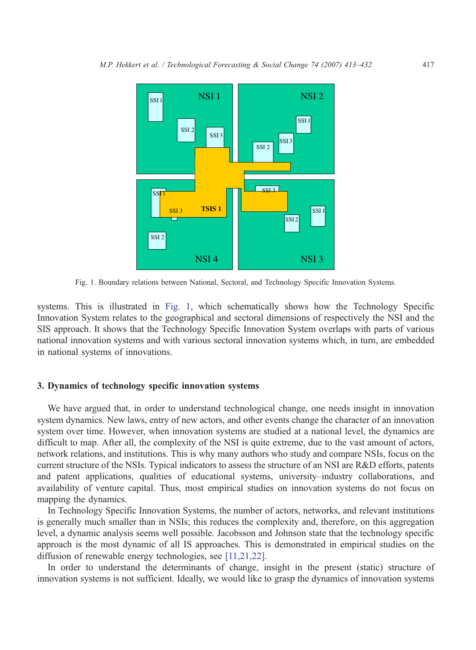

Fig. 1. Boundary relations between National, Sectoral, and Technology Specific Innovation Systems.

systems. This is illustrated in Fig. 1, which schematically shows how the Technology Specific Innovation System relates to the geographical and sectoral dimensions of respectively the NSI and the SIS approach. It shows that the Technology Specific Innovation System overlaps with parts of various national innovation systems and with various sectoral innovation systems which, in turn, are embedded in national systems of innovations.

## 3. Dynamics of technology specific innovation systems

We have argued that, in order to understand technological change, one needs insight in innovation system dynamics. New laws, entry of new actors, and other events change the character of an innovation system over time. However, when innovation systems are studied at a national level, the dynamics are difficult to map. After all, the complexity of the NSI is quite extreme, due to the vast amount of actors, network relations, and institutions. This is why many authors who study and compare NSIs, focus on the current structure of the NSIs. Typical indicators to assess the structure of an NSI are R&D efforts, patents and patent applications, qualities of educational systems, university–industry collaborations, and availability of venture capital. Thus, most empirical studies on innovation systems do not focus on mapping the dynamics.

In Technology Specific Innovation Systems, the number of actors, networks, and relevant institutions is generally much smaller than in NSIs; this reduces the complexity and, therefore, on this aggregation level, a dynamic analysis seems well possible. Jacobsson and Johnson state that the technology specific approach is the most dynamic of all IS approaches. This is demonstrated in empirical studies on the diffusion of renewable energy technologies, see [\[11,21,22\].](#page-17-0)

In order to understand the determinants of change, insight in the present (static) structure of innovation systems is not sufficient. Ideally, we would like to grasp the dynamics of innovation systems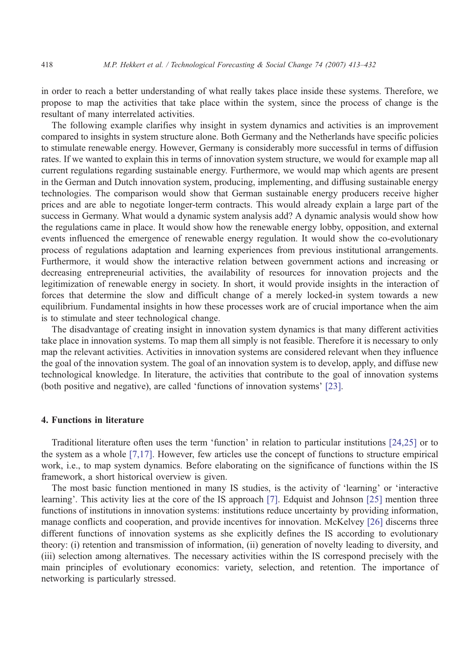in order to reach a better understanding of what really takes place inside these systems. Therefore, we propose to map the activities that take place within the system, since the process of change is the resultant of many interrelated activities.

The following example clarifies why insight in system dynamics and activities is an improvement compared to insights in system structure alone. Both Germany and the Netherlands have specific policies to stimulate renewable energy. However, Germany is considerably more successful in terms of diffusion rates. If we wanted to explain this in terms of innovation system structure, we would for example map all current regulations regarding sustainable energy. Furthermore, we would map which agents are present in the German and Dutch innovation system, producing, implementing, and diffusing sustainable energy technologies. The comparison would show that German sustainable energy producers receive higher prices and are able to negotiate longer-term contracts. This would already explain a large part of the success in Germany. What would a dynamic system analysis add? A dynamic analysis would show how the regulations came in place. It would show how the renewable energy lobby, opposition, and external events influenced the emergence of renewable energy regulation. It would show the co-evolutionary process of regulations adaptation and learning experiences from previous institutional arrangements. Furthermore, it would show the interactive relation between government actions and increasing or decreasing entrepreneurial activities, the availability of resources for innovation projects and the legitimization of renewable energy in society. In short, it would provide insights in the interaction of forces that determine the slow and difficult change of a merely locked-in system towards a new equilibrium. Fundamental insights in how these processes work are of crucial importance when the aim is to stimulate and steer technological change.

The disadvantage of creating insight in innovation system dynamics is that many different activities take place in innovation systems. To map them all simply is not feasible. Therefore it is necessary to only map the relevant activities. Activities in innovation systems are considered relevant when they influence the goal of the innovation system. The goal of an innovation system is to develop, apply, and diffuse new technological knowledge. In literature, the activities that contribute to the goal of innovation systems (both positive and negative), are called 'functions of innovation systems'  $[23]$ .

# 4. Functions in literature

Traditional literature often uses the term 'function' in relation to particular institutions  $[24,25]$  or to the system as a whole [\[7,17\].](#page-17-0) However, few articles use the concept of functions to structure empirical work, i.e., to map system dynamics. Before elaborating on the significance of functions within the IS framework, a short historical overview is given.

The most basic function mentioned in many IS studies, is the activity of 'learning' or 'interactive learning'. This activity lies at the core of the IS approach [\[7\].](#page-17-0) Edquist and Johnson [\[25\]](#page-18-0) mention three functions of institutions in innovation systems: institutions reduce uncertainty by providing information, manage conflicts and cooperation, and provide incentives for innovation. McKelvey [\[26\]](#page-18-0) discerns three different functions of innovation systems as she explicitly defines the IS according to evolutionary theory: (i) retention and transmission of information, (ii) generation of novelty leading to diversity, and (iii) selection among alternatives. The necessary activities within the IS correspond precisely with the main principles of evolutionary economics: variety, selection, and retention. The importance of networking is particularly stressed.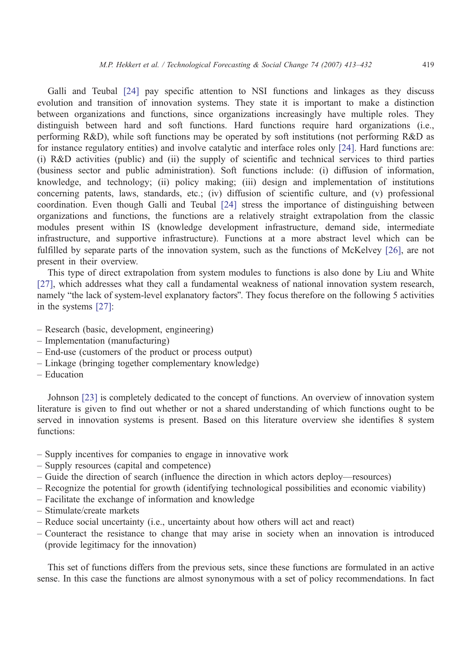Galli and Teubal [\[24\]](#page-18-0) pay specific attention to NSI functions and linkages as they discuss evolution and transition of innovation systems. They state it is important to make a distinction between organizations and functions, since organizations increasingly have multiple roles. They distinguish between hard and soft functions. Hard functions require hard organizations (i.e., performing R&D), while soft functions may be operated by soft institutions (not performing R&D as for instance regulatory entities) and involve catalytic and interface roles only [\[24\].](#page-18-0) Hard functions are: (i) R&D activities (public) and (ii) the supply of scientific and technical services to third parties (business sector and public administration). Soft functions include: (i) diffusion of information, knowledge, and technology; (ii) policy making; (iii) design and implementation of institutions concerning patents, laws, standards, etc.; (iv) diffusion of scientific culture, and (v) professional coordination. Even though Galli and Teubal [\[24\]](#page-18-0) stress the importance of distinguishing between organizations and functions, the functions are a relatively straight extrapolation from the classic modules present within IS (knowledge development infrastructure, demand side, intermediate

infrastructure, and supportive infrastructure). Functions at a more abstract level which can be fulfilled by separate parts of the innovation system, such as the functions of McKelvey [\[26\],](#page-18-0) are not present in their overview.

This type of direct extrapolation from system modules to functions is also done by Liu and White [\[27\],](#page-18-0) which addresses what they call a fundamental weakness of national innovation system research, namely "the lack of system-level explanatory factors". They focus therefore on the following 5 activities in the systems [\[27\]:](#page-18-0)

- Research (basic, development, engineering)
- Implementation (manufacturing)
- End-use (customers of the product or process output)
- Linkage (bringing together complementary knowledge)
- Education

Johnson [\[23\]](#page-18-0) is completely dedicated to the concept of functions. An overview of innovation system literature is given to find out whether or not a shared understanding of which functions ought to be served in innovation systems is present. Based on this literature overview she identifies 8 system functions:

- Supply incentives for companies to engage in innovative work
- Supply resources (capital and competence)
- Guide the direction of search (influence the direction in which actors deploy—resources)
- Recognize the potential for growth (identifying technological possibilities and economic viability)
- Facilitate the exchange of information and knowledge
- Stimulate/create markets
- Reduce social uncertainty (i.e., uncertainty about how others will act and react)
- Counteract the resistance to change that may arise in society when an innovation is introduced (provide legitimacy for the innovation)

This set of functions differs from the previous sets, since these functions are formulated in an active sense. In this case the functions are almost synonymous with a set of policy recommendations. In fact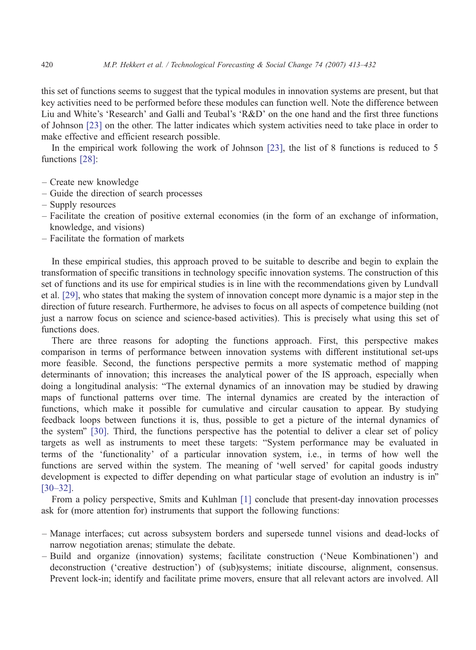this set of functions seems to suggest that the typical modules in innovation systems are present, but that key activities need to be performed before these modules can function well. Note the difference between Liu and White's 'Research' and Galli and Teubal's 'R&D' on the one hand and the first three functions of Johnson [\[23\]](#page-18-0) on the other. The latter indicates which system activities need to take place in order to make effective and efficient research possible.

In the empirical work following the work of Johnson [\[23\],](#page-18-0) the list of 8 functions is reduced to 5 functions [\[28\]:](#page-18-0)

- Create new knowledge
- Guide the direction of search processes
- Supply resources
- Facilitate the creation of positive external economies (in the form of an exchange of information, knowledge, and visions)
- Facilitate the formation of markets

In these empirical studies, this approach proved to be suitable to describe and begin to explain the transformation of specific transitions in technology specific innovation systems. The construction of this set of functions and its use for empirical studies is in line with the recommendations given by Lundvall et al. [\[29\],](#page-18-0) who states that making the system of innovation concept more dynamic is a major step in the direction of future research. Furthermore, he advises to focus on all aspects of competence building (not just a narrow focus on science and science-based activities). This is precisely what using this set of functions does.

There are three reasons for adopting the functions approach. First, this perspective makes comparison in terms of performance between innovation systems with different institutional set-ups more feasible. Second, the functions perspective permits a more systematic method of mapping determinants of innovation; this increases the analytical power of the IS approach, especially when doing a longitudinal analysis: "The external dynamics of an innovation may be studied by drawing maps of functional patterns over time. The internal dynamics are created by the interaction of functions, which make it possible for cumulative and circular causation to appear. By studying feedback loops between functions it is, thus, possible to get a picture of the internal dynamics of the system" [\[30\].](#page-18-0) Third, the functions perspective has the potential to deliver a clear set of policy targets as well as instruments to meet these targets: "System performance may be evaluated in terms of the 'functionality' of a particular innovation system, i.e., in terms of how well the functions are served within the system. The meaning of 'well served' for capital goods industry development is expected to differ depending on what particular stage of evolution an industry is in" [\[30–32\].](#page-18-0)

From a policy perspective, Smits and Kuhlman [\[1\]](#page-17-0) conclude that present-day innovation processes ask for (more attention for) instruments that support the following functions:

- Manage interfaces; cut across subsystem borders and supersede tunnel visions and dead-locks of narrow negotiation arenas; stimulate the debate.
- $-$  Build and organize (innovation) systems; facilitate construction ('Neue Kombinationen') and deconstruction ('creative destruction') of (sub)systems; initiate discourse, alignment, consensus. Prevent lock-in; identify and facilitate prime movers, ensure that all relevant actors are involved. All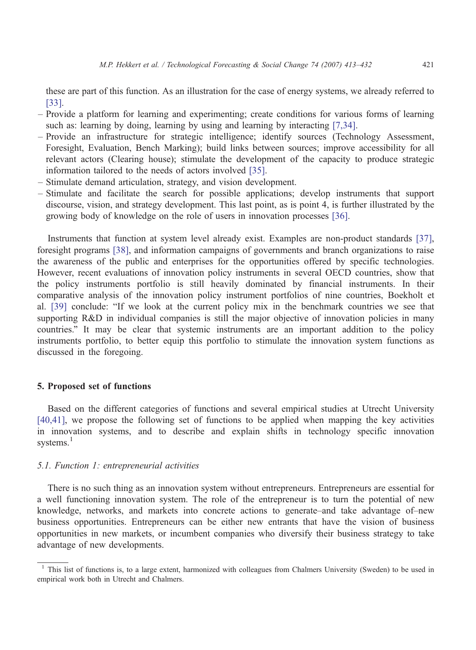these are part of this function. As an illustration for the case of energy systems, we already referred to [\[33\].](#page-18-0)

- Provide a platform for learning and experimenting; create conditions for various forms of learning such as: learning by doing, learning by using and learning by interacting [\[7,34\].](#page-17-0)
- Provide an infrastructure for strategic intelligence; identify sources (Technology Assessment, Foresight, Evaluation, Bench Marking); build links between sources; improve accessibility for all relevant actors (Clearing house); stimulate the development of the capacity to produce strategic information tailored to the needs of actors involved [\[35\].](#page-18-0)
- Stimulate demand articulation, strategy, and vision development.
- Stimulate and facilitate the search for possible applications; develop instruments that support discourse, vision, and strategy development. This last point, as is point 4, is further illustrated by the growing body of knowledge on the role of users in innovation processes [\[36\].](#page-18-0)

Instruments that function at system level already exist. Examples are non-product standards [\[37\],](#page-18-0) foresight programs [\[38\],](#page-18-0) and information campaigns of governments and branch organizations to raise the awareness of the public and enterprises for the opportunities offered by specific technologies. However, recent evaluations of innovation policy instruments in several OECD countries, show that the policy instruments portfolio is still heavily dominated by financial instruments. In their comparative analysis of the innovation policy instrument portfolios of nine countries, Boekholt et al. [\[39\]](#page-18-0) conclude: "If we look at the current policy mix in the benchmark countries we see that supporting R&D in individual companies is still the major objective of innovation policies in many countries." It may be clear that systemic instruments are an important addition to the policy instruments portfolio, to better equip this portfolio to stimulate the innovation system functions as discussed in the foregoing.

## 5. Proposed set of functions

Based on the different categories of functions and several empirical studies at Utrecht University [\[40,41\]](#page-19-0), we propose the following set of functions to be applied when mapping the key activities in innovation systems, and to describe and explain shifts in technology specific innovation systems.<sup>1</sup>

## 5.1. Function 1: entrepreneurial activities

There is no such thing as an innovation system without entrepreneurs. Entrepreneurs are essential for a well functioning innovation system. The role of the entrepreneur is to turn the potential of new knowledge, networks, and markets into concrete actions to generate–and take advantage of–new business opportunities. Entrepreneurs can be either new entrants that have the vision of business opportunities in new markets, or incumbent companies who diversify their business strategy to take advantage of new developments.

 $<sup>1</sup>$  This list of functions is, to a large extent, harmonized with colleagues from Chalmers University (Sweden) to be used in</sup> empirical work both in Utrecht and Chalmers.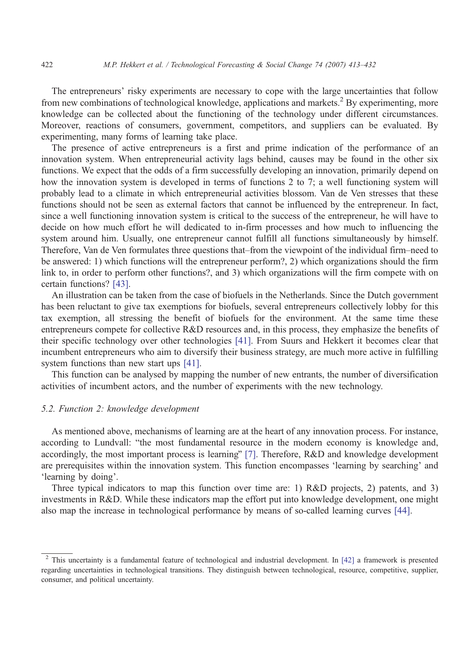The entrepreneurs' risky experiments are necessary to cope with the large uncertainties that follow from new combinations of technological knowledge, applications and markets.<sup>2</sup> By experimenting, more knowledge can be collected about the functioning of the technology under different circumstances. Moreover, reactions of consumers, government, competitors, and suppliers can be evaluated. By experimenting, many forms of learning take place.

The presence of active entrepreneurs is a first and prime indication of the performance of an innovation system. When entrepreneurial activity lags behind, causes may be found in the other six functions. We expect that the odds of a firm successfully developing an innovation, primarily depend on how the innovation system is developed in terms of functions 2 to 7; a well functioning system will probably lead to a climate in which entrepreneurial activities blossom. Van de Ven stresses that these functions should not be seen as external factors that cannot be influenced by the entrepreneur. In fact, since a well functioning innovation system is critical to the success of the entrepreneur, he will have to decide on how much effort he will dedicated to in-firm processes and how much to influencing the system around him. Usually, one entrepreneur cannot fulfill all functions simultaneously by himself. Therefore, Van de Ven formulates three questions that–from the viewpoint of the individual firm–need to be answered: 1) which functions will the entrepreneur perform?, 2) which organizations should the firm link to, in order to perform other functions?, and 3) which organizations will the firm compete with on certain functions? [\[43\].](#page-19-0)

An illustration can be taken from the case of biofuels in the Netherlands. Since the Dutch government has been reluctant to give tax exemptions for biofuels, several entrepreneurs collectively lobby for this tax exemption, all stressing the benefit of biofuels for the environment. At the same time these entrepreneurs compete for collective R&D resources and, in this process, they emphasize the benefits of their specific technology over other technologies [\[41\].](#page-19-0) From Suurs and Hekkert it becomes clear that incumbent entrepreneurs who aim to diversify their business strategy, are much more active in fulfilling system functions than new start ups [\[41\].](#page-19-0)

This function can be analysed by mapping the number of new entrants, the number of diversification activities of incumbent actors, and the number of experiments with the new technology.

# 5.2. Function 2: knowledge development

As mentioned above, mechanisms of learning are at the heart of any innovation process. For instance, according to Lundvall: "the most fundamental resource in the modern economy is knowledge and, accordingly, the most important process is learning" [\[7\].](#page-17-0) Therefore, R&D and knowledge development are prerequisites within the innovation system. This function encompasses 'learning by searching' and 'learning by doing'.

Three typical indicators to map this function over time are: 1) R&D projects, 2) patents, and 3) investments in R&D. While these indicators map the effort put into knowledge development, one might also map the increase in technological performance by means of so-called learning curves [\[44\].](#page-19-0)

<sup>&</sup>lt;sup>2</sup> This uncertainty is a fundamental feature of technological and industrial development. In [\[42\]](#page-19-0) a framework is presented regarding uncertainties in technological transitions. They distinguish between technological, resource, competitive, supplier, consumer, and political uncertainty.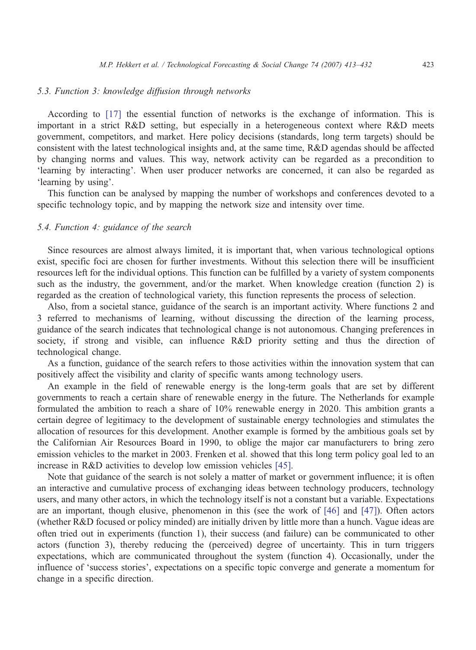# 5.3. Function 3: knowledge diffusion through networks

According to [\[17\]](#page-18-0) the essential function of networks is the exchange of information. This is important in a strict R&D setting, but especially in a heterogeneous context where R&D meets government, competitors, and market. Here policy decisions (standards, long term targets) should be consistent with the latest technological insights and, at the same time, R&D agendas should be affected by changing norms and values. This way, network activity can be regarded as a precondition to 'learning by interacting'. When user producer networks are concerned, it can also be regarded as 'learning by using'.

This function can be analysed by mapping the number of workshops and conferences devoted to a specific technology topic, and by mapping the network size and intensity over time.

## 5.4. Function 4: guidance of the search

Since resources are almost always limited, it is important that, when various technological options exist, specific foci are chosen for further investments. Without this selection there will be insufficient resources left for the individual options. This function can be fulfilled by a variety of system components such as the industry, the government, and/or the market. When knowledge creation (function 2) is regarded as the creation of technological variety, this function represents the process of selection.

Also, from a societal stance, guidance of the search is an important activity. Where functions 2 and 3 referred to mechanisms of learning, without discussing the direction of the learning process, guidance of the search indicates that technological change is not autonomous. Changing preferences in society, if strong and visible, can influence R&D priority setting and thus the direction of technological change.

As a function, guidance of the search refers to those activities within the innovation system that can positively affect the visibility and clarity of specific wants among technology users.

An example in the field of renewable energy is the long-term goals that are set by different governments to reach a certain share of renewable energy in the future. The Netherlands for example formulated the ambition to reach a share of 10% renewable energy in 2020. This ambition grants a certain degree of legitimacy to the development of sustainable energy technologies and stimulates the allocation of resources for this development. Another example is formed by the ambitious goals set by the Californian Air Resources Board in 1990, to oblige the major car manufacturers to bring zero emission vehicles to the market in 2003. Frenken et al. showed that this long term policy goal led to an increase in R&D activities to develop low emission vehicles [\[45\].](#page-19-0)

Note that guidance of the search is not solely a matter of market or government influence; it is often an interactive and cumulative process of exchanging ideas between technology producers, technology users, and many other actors, in which the technology itself is not a constant but a variable. Expectations are an important, though elusive, phenomenon in this (see the work of [\[46\]](#page-19-0) and [\[47\]\)](#page-19-0). Often actors (whether R&D focused or policy minded) are initially driven by little more than a hunch. Vague ideas are often tried out in experiments (function 1), their success (and failure) can be communicated to other actors (function 3), thereby reducing the (perceived) degree of uncertainty. This in turn triggers expectations, which are communicated throughout the system (function 4). Occasionally, under the influence of 'success stories', expectations on a specific topic converge and generate a momentum for change in a specific direction.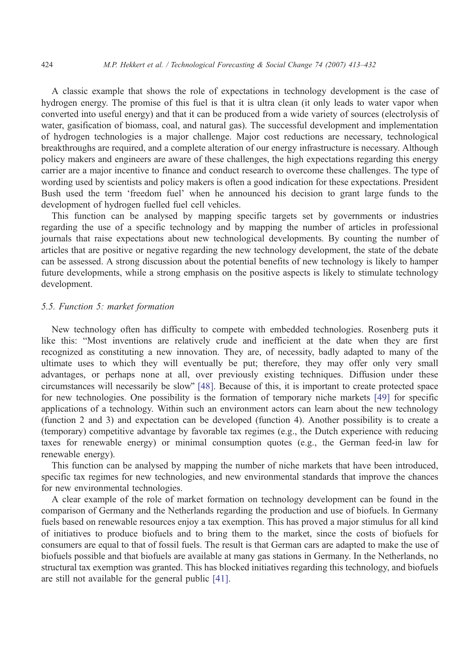A classic example that shows the role of expectations in technology development is the case of hydrogen energy. The promise of this fuel is that it is ultra clean (it only leads to water vapor when converted into useful energy) and that it can be produced from a wide variety of sources (electrolysis of water, gasification of biomass, coal, and natural gas). The successful development and implementation of hydrogen technologies is a major challenge. Major cost reductions are necessary, technological breakthroughs are required, and a complete alteration of our energy infrastructure is necessary. Although policy makers and engineers are aware of these challenges, the high expectations regarding this energy carrier are a major incentive to finance and conduct research to overcome these challenges. The type of wording used by scientists and policy makers is often a good indication for these expectations. President Bush used the term 'freedom fuel' when he announced his decision to grant large funds to the development of hydrogen fuelled fuel cell vehicles.

This function can be analysed by mapping specific targets set by governments or industries regarding the use of a specific technology and by mapping the number of articles in professional journals that raise expectations about new technological developments. By counting the number of articles that are positive or negative regarding the new technology development, the state of the debate can be assessed. A strong discussion about the potential benefits of new technology is likely to hamper future developments, while a strong emphasis on the positive aspects is likely to stimulate technology development.

# 5.5. Function 5: market formation

New technology often has difficulty to compete with embedded technologies. Rosenberg puts it like this: "Most inventions are relatively crude and inefficient at the date when they are first recognized as constituting a new innovation. They are, of necessity, badly adapted to many of the ultimate uses to which they will eventually be put; therefore, they may offer only very small advantages, or perhaps none at all, over previously existing techniques. Diffusion under these circumstances will necessarily be slow" [\[48\].](#page-19-0) Because of this, it is important to create protected space for new technologies. One possibility is the formation of temporary niche markets [\[49\]](#page-19-0) for specific applications of a technology. Within such an environment actors can learn about the new technology (function 2 and 3) and expectation can be developed (function 4). Another possibility is to create a (temporary) competitive advantage by favorable tax regimes (e.g., the Dutch experience with reducing taxes for renewable energy) or minimal consumption quotes (e.g., the German feed-in law for renewable energy).

This function can be analysed by mapping the number of niche markets that have been introduced, specific tax regimes for new technologies, and new environmental standards that improve the chances for new environmental technologies.

A clear example of the role of market formation on technology development can be found in the comparison of Germany and the Netherlands regarding the production and use of biofuels. In Germany fuels based on renewable resources enjoy a tax exemption. This has proved a major stimulus for all kind of initiatives to produce biofuels and to bring them to the market, since the costs of biofuels for consumers are equal to that of fossil fuels. The result is that German cars are adapted to make the use of biofuels possible and that biofuels are available at many gas stations in Germany. In the Netherlands, no structural tax exemption was granted. This has blocked initiatives regarding this technology, and biofuels are still not available for the general public [\[41\].](#page-19-0)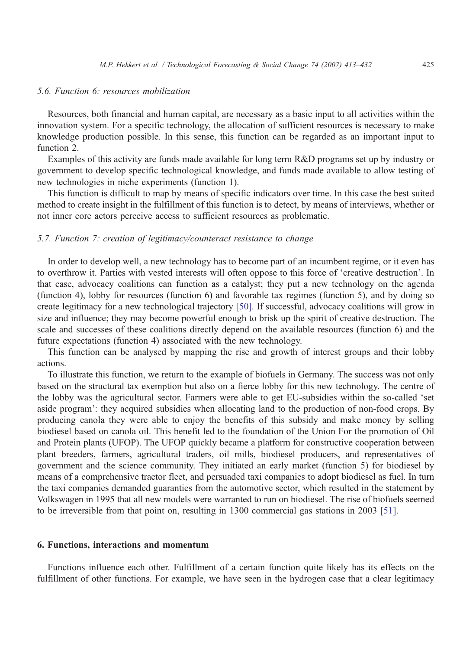# 5.6. Function 6: resources mobilization

Resources, both financial and human capital, are necessary as a basic input to all activities within the innovation system. For a specific technology, the allocation of sufficient resources is necessary to make knowledge production possible. In this sense, this function can be regarded as an important input to function 2.

Examples of this activity are funds made available for long term R&D programs set up by industry or government to develop specific technological knowledge, and funds made available to allow testing of new technologies in niche experiments (function 1).

This function is difficult to map by means of specific indicators over time. In this case the best suited method to create insight in the fulfillment of this function is to detect, by means of interviews, whether or not inner core actors perceive access to sufficient resources as problematic.

## 5.7. Function 7: creation of legitimacy/counteract resistance to change

In order to develop well, a new technology has to become part of an incumbent regime, or it even has to overthrow it. Parties with vested interests will often oppose to this force of 'creative destruction'. In that case, advocacy coalitions can function as a catalyst; they put a new technology on the agenda (function 4), lobby for resources (function 6) and favorable tax regimes (function 5), and by doing so create legitimacy for a new technological trajectory [\[50\].](#page-19-0) If successful, advocacy coalitions will grow in size and influence; they may become powerful enough to brisk up the spirit of creative destruction. The scale and successes of these coalitions directly depend on the available resources (function 6) and the future expectations (function 4) associated with the new technology.

This function can be analysed by mapping the rise and growth of interest groups and their lobby actions.

To illustrate this function, we return to the example of biofuels in Germany. The success was not only based on the structural tax exemption but also on a fierce lobby for this new technology. The centre of the lobby was the agricultural sector. Farmers were able to get EU-subsidies within the so-called 'set aside program': they acquired subsidies when allocating land to the production of non-food crops. By producing canola they were able to enjoy the benefits of this subsidy and make money by selling biodiesel based on canola oil. This benefit led to the foundation of the Union For the promotion of Oil and Protein plants (UFOP). The UFOP quickly became a platform for constructive cooperation between plant breeders, farmers, agricultural traders, oil mills, biodiesel producers, and representatives of government and the science community. They initiated an early market (function 5) for biodiesel by means of a comprehensive tractor fleet, and persuaded taxi companies to adopt biodiesel as fuel. In turn the taxi companies demanded guaranties from the automotive sector, which resulted in the statement by Volkswagen in 1995 that all new models were warranted to run on biodiesel. The rise of biofuels seemed to be irreversible from that point on, resulting in 1300 commercial gas stations in 2003 [\[51\].](#page-19-0)

#### 6. Functions, interactions and momentum

Functions influence each other. Fulfillment of a certain function quite likely has its effects on the fulfillment of other functions. For example, we have seen in the hydrogen case that a clear legitimacy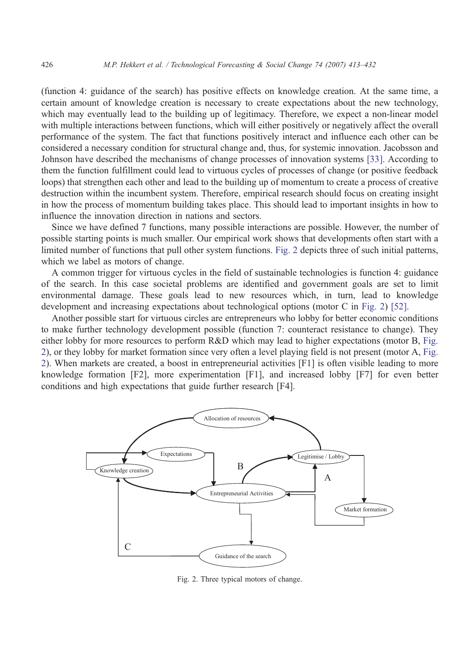<span id="page-13-0"></span>(function 4: guidance of the search) has positive effects on knowledge creation. At the same time, a certain amount of knowledge creation is necessary to create expectations about the new technology, which may eventually lead to the building up of legitimacy. Therefore, we expect a non-linear model with multiple interactions between functions, which will either positively or negatively affect the overall performance of the system. The fact that functions positively interact and influence each other can be considered a necessary condition for structural change and, thus, for systemic innovation. Jacobsson and Johnson have described the mechanisms of change processes of innovation systems [\[33\].](#page-18-0) According to them the function fulfillment could lead to virtuous cycles of processes of change (or positive feedback loops) that strengthen each other and lead to the building up of momentum to create a process of creative destruction within the incumbent system. Therefore, empirical research should focus on creating insight in how the process of momentum building takes place. This should lead to important insights in how to influence the innovation direction in nations and sectors.

Since we have defined 7 functions, many possible interactions are possible. However, the number of possible starting points is much smaller. Our empirical work shows that developments often start with a limited number of functions that pull other system functions. Fig. 2 depicts three of such initial patterns, which we label as motors of change.

A common trigger for virtuous cycles in the field of sustainable technologies is function 4: guidance of the search. In this case societal problems are identified and government goals are set to limit environmental damage. These goals lead to new resources which, in turn, lead to knowledge development and increasing expectations about technological options (motor C in Fig. 2) [\[52\].](#page-19-0)

Another possible start for virtuous circles are entrepreneurs who lobby for better economic conditions to make further technology development possible (function 7: counteract resistance to change). They either lobby for more resources to perform R&D which may lead to higher expectations (motor B, Fig. 2), or they lobby for market formation since very often a level playing field is not present (motor A, Fig. 2). When markets are created, a boost in entrepreneurial activities [F1] is often visible leading to more knowledge formation [F2], more experimentation [F1], and increased lobby [F7] for even better conditions and high expectations that guide further research [F4].



Fig. 2. Three typical motors of change.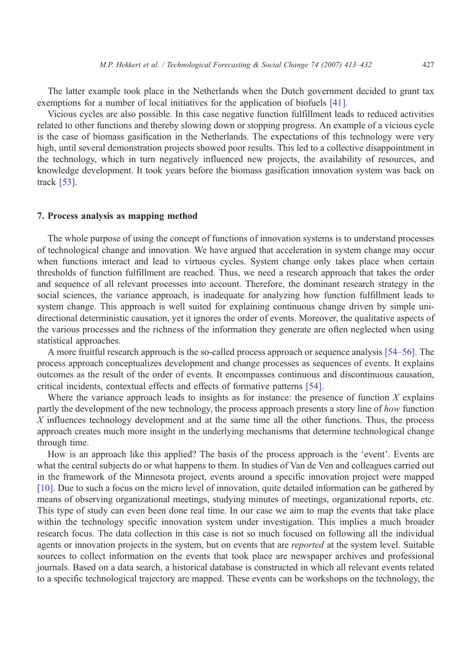The latter example took place in the Netherlands when the Dutch government decided to grant tax exemptions for a number of local initiatives for the application of biofuels [\[41\].](#page-19-0)

Vicious cycles are also possible. In this case negative function fulfillment leads to reduced activities related to other functions and thereby slowing down or stopping progress. An example of a vicious cycle is the case of biomass gasification in the Netherlands. The expectations of this technology were very high, until several demonstration projects showed poor results. This led to a collective disappointment in the technology, which in turn negatively influenced new projects, the availability of resources, and knowledge development. It took years before the biomass gasification innovation system was back on track [\[53\].](#page-19-0)

## 7. Process analysis as mapping method

The whole purpose of using the concept of functions of innovation systems is to understand processes of technological change and innovation. We have argued that acceleration in system change may occur when functions interact and lead to virtuous cycles. System change only takes place when certain thresholds of function fulfillment are reached. Thus, we need a research approach that takes the order and sequence of all relevant processes into account. Therefore, the dominant research strategy in the social sciences, the variance approach, is inadequate for analyzing how function fulfillment leads to system change. This approach is well suited for explaining continuous change driven by simple unidirectional deterministic causation, yet it ignores the order of events. Moreover, the qualitative aspects of the various processes and the richness of the information they generate are often neglected when using statistical approaches.

A more fruitful research approach is the so-called process approach or sequence analysis [\[54–56\].](#page-19-0) The process approach conceptualizes development and change processes as sequences of events. It explains outcomes as the result of the order of events. It encompasses continuous and discontinuous causation, critical incidents, contextual effects and effects of formative patterns [\[54\].](#page-19-0)

Where the variance approach leads to insights as for instance: the presence of function  $X$  explains partly the development of the new technology, the process approach presents a story line of how function  $X$  influences technology development and at the same time all the other functions. Thus, the process approach creates much more insight in the underlying mechanisms that determine technological change through time.

How is an approach like this applied? The basis of the process approach is the 'event'. Events are what the central subjects do or what happens to them. In studies of Van de Ven and colleagues carried out in the framework of the Minnesota project, events around a specific innovation project were mapped [\[10\].](#page-17-0) Due to such a focus on the micro level of innovation, quite detailed information can be gathered by means of observing organizational meetings, studying minutes of meetings, organizational reports, etc. This type of study can even been done real time. In our case we aim to map the events that take place within the technology specific innovation system under investigation. This implies a much broader research focus. The data collection in this case is not so much focused on following all the individual agents or innovation projects in the system, but on events that are *reported* at the system level. Suitable sources to collect information on the events that took place are newspaper archives and professional journals. Based on a data search, a historical database is constructed in which all relevant events related to a specific technological trajectory are mapped. These events can be workshops on the technology, the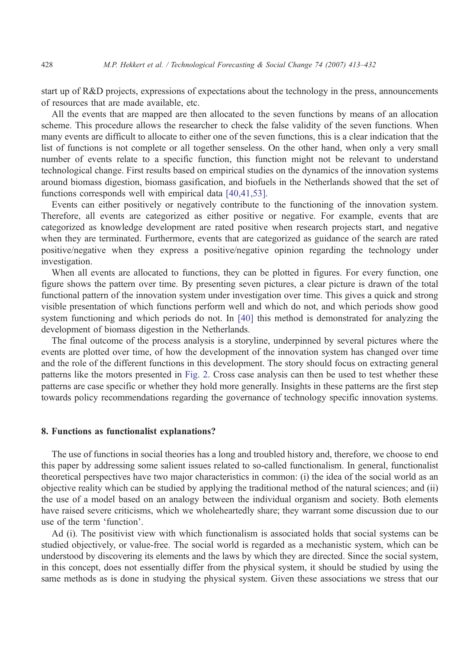start up of R&D projects, expressions of expectations about the technology in the press, announcements of resources that are made available, etc.

All the events that are mapped are then allocated to the seven functions by means of an allocation scheme. This procedure allows the researcher to check the false validity of the seven functions. When many events are difficult to allocate to either one of the seven functions, this is a clear indication that the list of functions is not complete or all together senseless. On the other hand, when only a very small number of events relate to a specific function, this function might not be relevant to understand technological change. First results based on empirical studies on the dynamics of the innovation systems around biomass digestion, biomass gasification, and biofuels in the Netherlands showed that the set of functions corresponds well with empirical data [\[40,41,53\].](#page-19-0)

Events can either positively or negatively contribute to the functioning of the innovation system. Therefore, all events are categorized as either positive or negative. For example, events that are categorized as knowledge development are rated positive when research projects start, and negative when they are terminated. Furthermore, events that are categorized as guidance of the search are rated positive/negative when they express a positive/negative opinion regarding the technology under investigation.

When all events are allocated to functions, they can be plotted in figures. For every function, one figure shows the pattern over time. By presenting seven pictures, a clear picture is drawn of the total functional pattern of the innovation system under investigation over time. This gives a quick and strong visible presentation of which functions perform well and which do not, and which periods show good system functioning and which periods do not. In [\[40\]](#page-19-0) this method is demonstrated for analyzing the development of biomass digestion in the Netherlands.

The final outcome of the process analysis is a storyline, underpinned by several pictures where the events are plotted over time, of how the development of the innovation system has changed over time and the role of the different functions in this development. The story should focus on extracting general patterns like the motors presented in [Fig. 2.](#page-13-0) Cross case analysis can then be used to test whether these patterns are case specific or whether they hold more generally. Insights in these patterns are the first step towards policy recommendations regarding the governance of technology specific innovation systems.

## 8. Functions as functionalist explanations?

The use of functions in social theories has a long and troubled history and, therefore, we choose to end this paper by addressing some salient issues related to so-called functionalism. In general, functionalist theoretical perspectives have two major characteristics in common: (i) the idea of the social world as an objective reality which can be studied by applying the traditional method of the natural sciences; and (ii) the use of a model based on an analogy between the individual organism and society. Both elements have raised severe criticisms, which we wholeheartedly share; they warrant some discussion due to our use of the term 'function'.

Ad (i). The positivist view with which functionalism is associated holds that social systems can be studied objectively, or value-free. The social world is regarded as a mechanistic system, which can be understood by discovering its elements and the laws by which they are directed. Since the social system, in this concept, does not essentially differ from the physical system, it should be studied by using the same methods as is done in studying the physical system. Given these associations we stress that our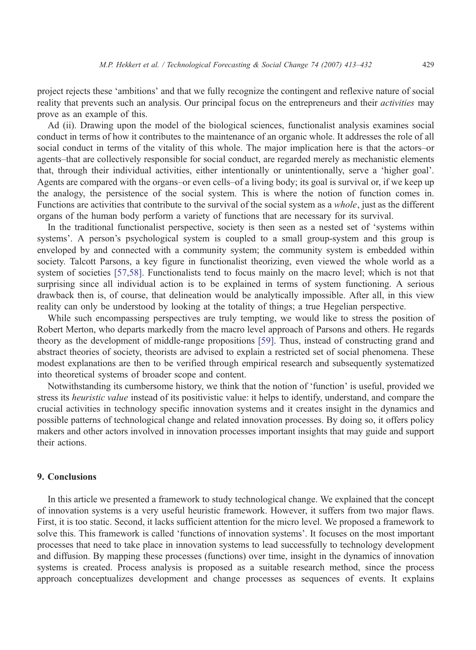project rejects these 'ambitions' and that we fully recognize the contingent and reflexive nature of social reality that prevents such an analysis. Our principal focus on the entrepreneurs and their *activities* may prove as an example of this.

Ad (ii). Drawing upon the model of the biological sciences, functionalist analysis examines social conduct in terms of how it contributes to the maintenance of an organic whole. It addresses the role of all social conduct in terms of the vitality of this whole. The major implication here is that the actors–or agents–that are collectively responsible for social conduct, are regarded merely as mechanistic elements that, through their individual activities, either intentionally or unintentionally, serve a 'higher goal'. Agents are compared with the organs–or even cells–of a living body; its goal is survival or, if we keep up the analogy, the persistence of the social system. This is where the notion of function comes in. Functions are activities that contribute to the survival of the social system as a whole, just as the different organs of the human body perform a variety of functions that are necessary for its survival.

In the traditional functionalist perspective, society is then seen as a nested set of 'systems within systems'. A person's psychological system is coupled to a small group-system and this group is enveloped by and connected with a community system; the community system is embedded within society. Talcott Parsons, a key figure in functionalist theorizing, even viewed the whole world as a system of societies [\[57,58\].](#page-19-0) Functionalists tend to focus mainly on the macro level; which is not that surprising since all individual action is to be explained in terms of system functioning. A serious drawback then is, of course, that delineation would be analytically impossible. After all, in this view reality can only be understood by looking at the totality of things; a true Hegelian perspective.

While such encompassing perspectives are truly tempting, we would like to stress the position of Robert Merton, who departs markedly from the macro level approach of Parsons and others. He regards theory as the development of middle-range propositions [\[59\].](#page-19-0) Thus, instead of constructing grand and abstract theories of society, theorists are advised to explain a restricted set of social phenomena. These modest explanations are then to be verified through empirical research and subsequently systematized into theoretical systems of broader scope and content.

Notwithstanding its cumbersome history, we think that the notion of 'function' is useful, provided we stress its *heuristic value* instead of its positivistic value: it helps to identify, understand, and compare the crucial activities in technology specific innovation systems and it creates insight in the dynamics and possible patterns of technological change and related innovation processes. By doing so, it offers policy makers and other actors involved in innovation processes important insights that may guide and support their actions.

## 9. Conclusions

In this article we presented a framework to study technological change. We explained that the concept of innovation systems is a very useful heuristic framework. However, it suffers from two major flaws. First, it is too static. Second, it lacks sufficient attention for the micro level. We proposed a framework to solve this. This framework is called 'functions of innovation systems'. It focuses on the most important processes that need to take place in innovation systems to lead successfully to technology development and diffusion. By mapping these processes (functions) over time, insight in the dynamics of innovation systems is created. Process analysis is proposed as a suitable research method, since the process approach conceptualizes development and change processes as sequences of events. It explains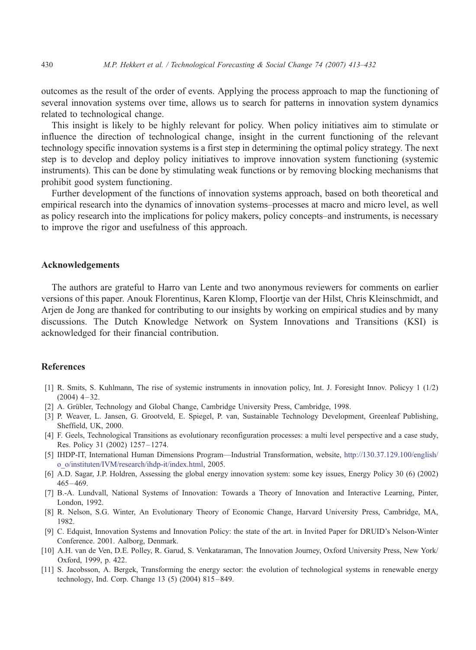<span id="page-17-0"></span>outcomes as the result of the order of events. Applying the process approach to map the functioning of several innovation systems over time, allows us to search for patterns in innovation system dynamics related to technological change.

This insight is likely to be highly relevant for policy. When policy initiatives aim to stimulate or influence the direction of technological change, insight in the current functioning of the relevant technology specific innovation systems is a first step in determining the optimal policy strategy. The next step is to develop and deploy policy initiatives to improve innovation system functioning (systemic instruments). This can be done by stimulating weak functions or by removing blocking mechanisms that prohibit good system functioning.

Further development of the functions of innovation systems approach, based on both theoretical and empirical research into the dynamics of innovation systems–processes at macro and micro level, as well as policy research into the implications for policy makers, policy concepts–and instruments, is necessary to improve the rigor and usefulness of this approach.

# Acknowledgements

The authors are grateful to Harro van Lente and two anonymous reviewers for comments on earlier versions of this paper. Anouk Florentinus, Karen Klomp, Floortje van der Hilst, Chris Kleinschmidt, and Arjen de Jong are thanked for contributing to our insights by working on empirical studies and by many discussions. The Dutch Knowledge Network on System Innovations and Transitions (KSI) is acknowledged for their financial contribution.

## **References**

- [1] R. Smits, S. Kuhlmann, The rise of systemic instruments in innovation policy, Int. J. Foresight Innov. Policyy 1 (1/2)  $(2004)$  4 – 32.
- [2] A. Grübler, Technology and Global Change, Cambridge University Press, Cambridge, 1998.
- [3] P. Weaver, L. Jansen, G. Grootveld, E. Spiegel, P. van, Sustainable Technology Development, Greenleaf Publishing, Sheffield, UK, 2000.
- [4] F. Geels, Technological Transitions as evolutionary reconfiguration processes: a multi level perspective and a case study, Res. Policy 31 (2002) 1257 – 1274.
- [5] IHDP-IT, International Human Dimensions Program—Industrial Transformation, website, [http://130.37.129.100/english/](http://130.37.129.100/english/o_o/instituten/IVM/research/ihdp-it/index.html) o\_o/instituten/IVM/research/ihdp-it/index.html, 2005.
- [6] A.D. Sagar, J.P. Holdren, Assessing the global energy innovation system: some key issues, Energy Policy 30 (6) (2002)  $465 - 469.$
- [7] B.-A. Lundvall, National Systems of Innovation: Towards a Theory of Innovation and Interactive Learning, Pinter, London, 1992.
- [8] R. Nelson, S.G. Winter, An Evolutionary Theory of Economic Change, Harvard University Press, Cambridge, MA, 1982.
- [9] C. Edquist, Innovation Systems and Innovation Policy: the state of the art. in Invited Paper for DRUID's Nelson-Winter Conference. 2001. Aalborg, Denmark.
- [10] A.H. van de Ven, D.E. Polley, R. Garud, S. Venkataraman, The Innovation Journey, Oxford University Press, New York/ Oxford, 1999, p. 422.
- [11] S. Jacobsson, A. Bergek, Transforming the energy sector: the evolution of technological systems in renewable energy technology, Ind. Corp. Change 13 (5) (2004) 815 – 849.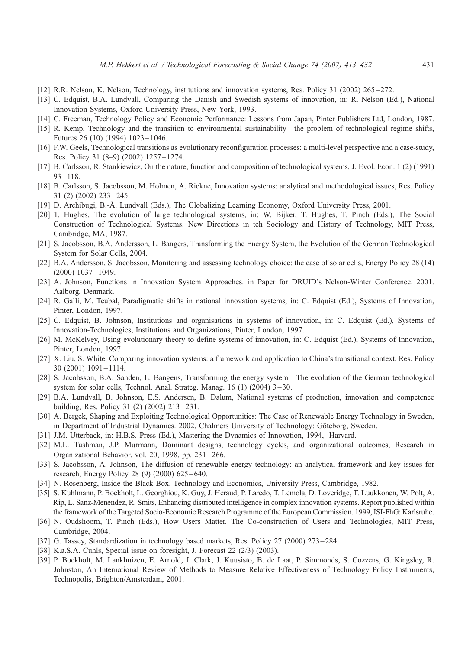- <span id="page-18-0"></span>[12] R.R. Nelson, K. Nelson, Technology, institutions and innovation systems, Res. Policy 31 (2002) 265 – 272.
- [13] C. Edquist, B.A. Lundvall, Comparing the Danish and Swedish systems of innovation, in: R. Nelson (Ed.), National Innovation Systems, Oxford University Press, New York, 1993.
- [14] C. Freeman, Technology Policy and Economic Performance: Lessons from Japan, Pinter Publishers Ltd, London, 1987.
- [15] R. Kemp, Technology and the transition to environmental sustainability—the problem of technological regime shifts, Futures 26 (10) (1994) 1023-1046.
- [16] F.W. Geels, Technological transitions as evolutionary reconfiguration processes: a multi-level perspective and a case-study, Res. Policy 31 (8–9) (2002) 1257 – 1274.
- [17] B. Carlsson, R. Stankiewicz, On the nature, function and composition of technological systems, J. Evol. Econ. 1 (2) (1991)  $93 - 118.$
- [18] B. Carlsson, S. Jacobsson, M. Holmen, A. Rickne, Innovation systems: analytical and methodological issues, Res. Policy 31 (2) (2002) 233 – 245.
- [19] D. Archibugi, B.-A˚ . Lundvall (Eds.), The Globalizing Learning Economy, Oxford University Press, 2001.
- [20] T. Hughes, The evolution of large technological systems, in: W. Bijker, T. Hughes, T. Pinch (Eds.), The Social Construction of Technological Systems. New Directions in teh Sociology and History of Technology, MIT Press, Cambridge, MA, 1987.
- [21] S. Jacobsson, B.A. Andersson, L. Bangers, Transforming the Energy System, the Evolution of the German Technological System for Solar Cells, 2004.
- [22] B.A. Andersson, S. Jacobsson, Monitoring and assessing technology choice: the case of solar cells, Energy Policy 28 (14)  $(2000)$  1037 – 1049.
- [23] A. Johnson, Functions in Innovation System Approaches. in Paper for DRUID's Nelson-Winter Conference. 2001. Aalborg, Denmark.
- [24] R. Galli, M. Teubal, Paradigmatic shifts in national innovation systems, in: C. Edquist (Ed.), Systems of Innovation, Pinter, London, 1997.
- [25] C. Edquist, B. Johnson, Institutions and organisations in systems of innovation, in: C. Edquist (Ed.), Systems of Innovation-Technologies, Institutions and Organizations, Pinter, London, 1997.
- [26] M. McKelvey, Using evolutionary theory to define systems of innovation, in: C. Edquist (Ed.), Systems of Innovation, Pinter, London, 1997.
- [27] X. Liu, S. White, Comparing innovation systems: a framework and application to China's transitional context, Res. Policy 30 (2001) 1091 – 1114.
- [28] S. Jacobsson, B.A. Sanden, L. Bangens, Transforming the energy system—The evolution of the German technological system for solar cells, Technol. Anal. Strateg. Manag.  $16(1)(2004)$  3-30.
- [29] B.A. Lundvall, B. Johnson, E.S. Andersen, B. Dalum, National systems of production, innovation and competence building, Res. Policy 31 (2) (2002) 213 – 231.
- [30] A. Bergek, Shaping and Exploiting Technological Opportunities: The Case of Renewable Energy Technology in Sweden, in Department of Industrial Dynamics. 2002, Chalmers University of Technology: Göteborg, Sweden.
- [31] J.M. Utterback, in: H.B.S. Press (Ed.), Mastering the Dynamics of Innovation, 1994, Harvard.
- [32] M.L. Tushman, J.P. Murmann, Dominant designs, technology cycles, and organizational outcomes, Research in Organizational Behavior, vol. 20, 1998, pp. 231 – 266.
- [33] S. Jacobsson, A. Johnson, The diffusion of renewable energy technology: an analytical framework and key issues for research, Energy Policy 28 (9) (2000) 625 – 640.
- [34] N. Rosenberg, Inside the Black Box. Technology and Economics, University Press, Cambridge, 1982.
- [35] S. Kuhlmann, P. Boekholt, L. Georghiou, K. Guy, J. Heraud, P. Laredo, T. Lemola, D. Loveridge, T. Luukkonen, W. Polt, A. Rip, L. Sanz-Menendez, R. Smits, Enhancing distributed intelligence in complex innovation systems. Report published within the framework of the Targeted Socio-Economic Research Programme of the European Commission. 1999, ISI-FhG: Karlsruhe.
- [36] N. Oudshoorn, T. Pinch (Eds.), How Users Matter. The Co-construction of Users and Technologies, MIT Press, Cambridge, 2004.
- [37] G. Tassey, Standardization in technology based markets, Res. Policy 27 (2000) 273 284.
- [38] K.a.S.A. Cuhls, Special issue on foresight, J. Forecast 22 (2/3) (2003).
- [39] P. Boekholt, M. Lankhuizen, E. Arnold, J. Clark, J. Kuusisto, B. de Laat, P. Simmonds, S. Cozzens, G. Kingsley, R. Johnston, An International Review of Methods to Measure Relative Effectiveness of Technology Policy Instruments, Technopolis, Brighton/Amsterdam, 2001.